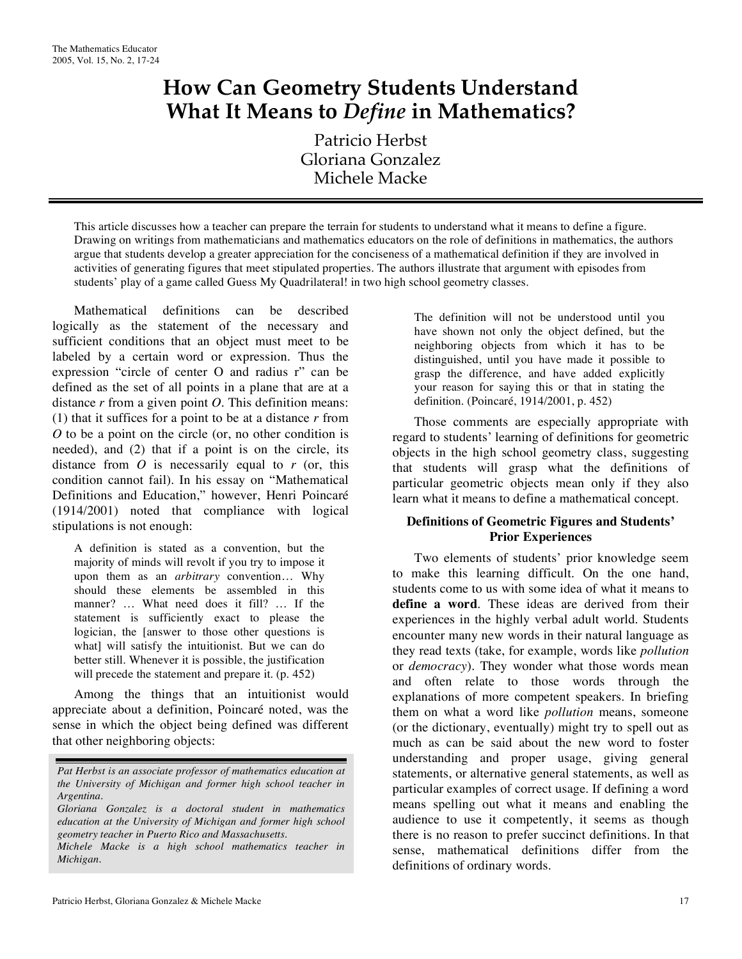# **How Can Geometry Students Understand What It Means to** *Define* **in Mathematics?**

Patricio Herbst Gloriana Gonzalez Michele Macke

This article discusses how a teacher can prepare the terrain for students to understand what it means to define a figure. Drawing on writings from mathematicians and mathematics educators on the role of definitions in mathematics, the authors argue that students develop a greater appreciation for the conciseness of a mathematical definition if they are involved in activities of generating figures that meet stipulated properties. The authors illustrate that argument with episodes from students' play of a game called Guess My Quadrilateral! in two high school geometry classes.

Mathematical definitions can be described logically as the statement of the necessary and sufficient conditions that an object must meet to be labeled by a certain word or expression. Thus the expression "circle of center O and radius r" can be defined as the set of all points in a plane that are at a distance *r* from a given point *O*. This definition means: (1) that it suffices for a point to be at a distance *r* from *O* to be a point on the circle (or, no other condition is needed), and (2) that if a point is on the circle, its distance from  $O$  is necessarily equal to  $r$  (or, this condition cannot fail). In his essay on "Mathematical Definitions and Education," however, Henri Poincaré (1914/2001) noted that compliance with logical stipulations is not enough:

A definition is stated as a convention, but the majority of minds will revolt if you try to impose it upon them as an *arbitrary* convention… Why should these elements be assembled in this manner? … What need does it fill? … If the statement is sufficiently exact to please the logician, the [answer to those other questions is what] will satisfy the intuitionist. But we can do better still. Whenever it is possible, the justification will precede the statement and prepare it. (p. 452)

Among the things that an intuitionist would appreciate about a definition, Poincaré noted, was the sense in which the object being defined was different that other neighboring objects:

Patricio Herbst, Gloriana Gonzalez & Michele Macke 17 and 17 and 17 and 17 and 17 and 17 and 17 and 17 and 17 and 17 and 17 and 17 and 17 and 17 and 17 and 17 and 17 and 17 and 17 and 17 and 17 and 18 and 18 and 18 and 18

The definition will not be understood until you have shown not only the object defined, but the neighboring objects from which it has to be distinguished, until you have made it possible to grasp the difference, and have added explicitly your reason for saying this or that in stating the definition. (Poincaré, 1914/2001, p. 452)

Those comments are especially appropriate with regard to students' learning of definitions for geometric objects in the high school geometry class, suggesting that students will grasp what the definitions of particular geometric objects mean only if they also learn what it means to define a mathematical concept.

## **Definitions of Geometric Figures and Students' Prior Experiences**

Two elements of students' prior knowledge seem to make this learning difficult. On the one hand, students come to us with some idea of what it means to **define a word**. These ideas are derived from their experiences in the highly verbal adult world. Students encounter many new words in their natural language as they read texts (take, for example, words like *pollution* or *democracy*). They wonder what those words mean and often relate to those words through the explanations of more competent speakers. In briefing them on what a word like *pollution* means, someone (or the dictionary, eventually) might try to spell out as much as can be said about the new word to foster understanding and proper usage, giving general statements, or alternative general statements, as well as particular examples of correct usage. If defining a word means spelling out what it means and enabling the audience to use it competently, it seems as though there is no reason to prefer succinct definitions. In that sense, mathematical definitions differ from the definitions of ordinary words.

*Pat Herbst is an associate professor of mathematics education at the University of Michigan and former high school teacher in Argentina.*

*Gloriana Gonzalez is a doctoral student in mathematics education at the University of Michigan and former high school geometry teacher in Puerto Rico and Massachusetts.*

*Michele Macke is a high school mathematics teacher in Michigan.*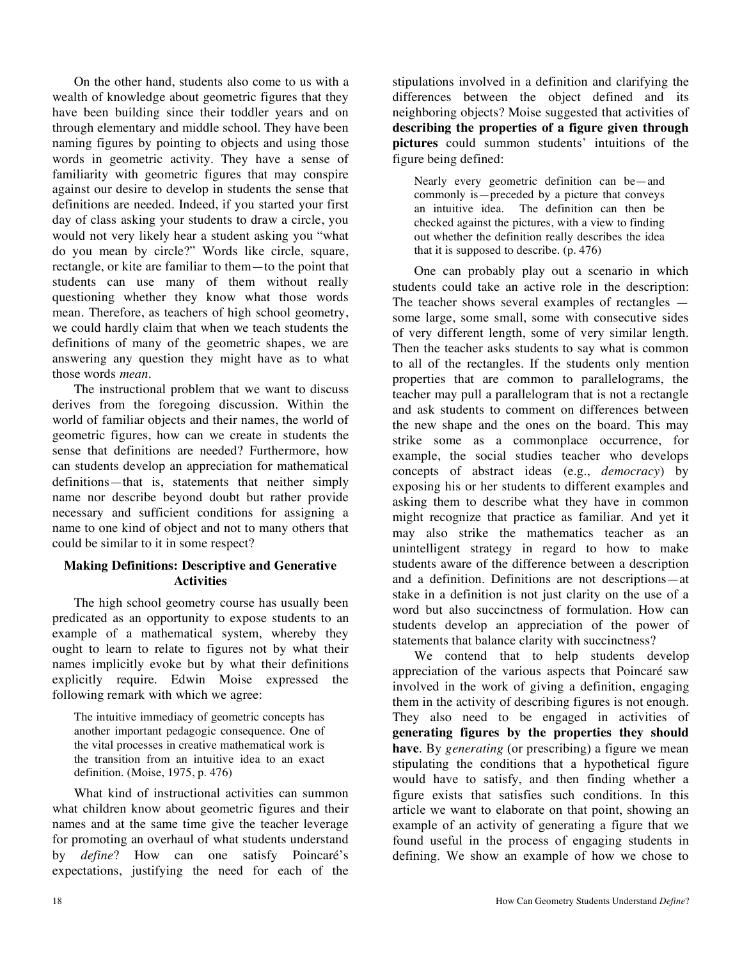On the other hand, students also come to us with a wealth of knowledge about geometric figures that they have been building since their toddler years and on through elementary and middle school. They have been naming figures by pointing to objects and using those words in geometric activity. They have a sense of familiarity with geometric figures that may conspire against our desire to develop in students the sense that definitions are needed. Indeed, if you started your first day of class asking your students to draw a circle, you would not very likely hear a student asking you "what do you mean by circle?" Words like circle, square, rectangle, or kite are familiar to them—to the point that students can use many of them without really questioning whether they know what those words mean. Therefore, as teachers of high school geometry, we could hardly claim that when we teach students the definitions of many of the geometric shapes, we are answering any question they might have as to what those words *mean*.

The instructional problem that we want to discuss derives from the foregoing discussion. Within the world of familiar objects and their names, the world of geometric figures, how can we create in students the sense that definitions are needed? Furthermore, how can students develop an appreciation for mathematical definitions—that is, statements that neither simply name nor describe beyond doubt but rather provide necessary and sufficient conditions for assigning a name to one kind of object and not to many others that could be similar to it in some respect?

## **Making Definitions: Descriptive and Generative Activities**

The high school geometry course has usually been predicated as an opportunity to expose students to an example of a mathematical system, whereby they ought to learn to relate to figures not by what their names implicitly evoke but by what their definitions explicitly require. Edwin Moise expressed the following remark with which we agree:

The intuitive immediacy of geometric concepts has another important pedagogic consequence. One of the vital processes in creative mathematical work is the transition from an intuitive idea to an exact definition. (Moise, 1975, p. 476)

What kind of instructional activities can summon what children know about geometric figures and their names and at the same time give the teacher leverage for promoting an overhaul of what students understand by *define*? How can one satisfy Poincaré's expectations, justifying the need for each of the stipulations involved in a definition and clarifying the differences between the object defined and its neighboring objects? Moise suggested that activities of **describing the properties of a figure given through pictures** could summon students' intuitions of the figure being defined:

Nearly every geometric definition can be—and commonly is—preceded by a picture that conveys an intuitive idea. The definition can then be checked against the pictures, with a view to finding out whether the definition really describes the idea that it is supposed to describe. (p. 476)

One can probably play out a scenario in which students could take an active role in the description: The teacher shows several examples of rectangles some large, some small, some with consecutive sides of very different length, some of very similar length. Then the teacher asks students to say what is common to all of the rectangles. If the students only mention properties that are common to parallelograms, the teacher may pull a parallelogram that is not a rectangle and ask students to comment on differences between the new shape and the ones on the board. This may strike some as a commonplace occurrence, for example, the social studies teacher who develops concepts of abstract ideas (e.g., *democracy*) by exposing his or her students to different examples and asking them to describe what they have in common might recognize that practice as familiar. And yet it may also strike the mathematics teacher as an unintelligent strategy in regard to how to make students aware of the difference between a description and a definition. Definitions are not descriptions—at stake in a definition is not just clarity on the use of a word but also succinctness of formulation. How can students develop an appreciation of the power of statements that balance clarity with succinctness?

We contend that to help students develop appreciation of the various aspects that Poincaré saw involved in the work of giving a definition, engaging them in the activity of describing figures is not enough. They also need to be engaged in activities of **generating figures by the properties they should have**. By *generating* (or prescribing) a figure we mean stipulating the conditions that a hypothetical figure would have to satisfy, and then finding whether a figure exists that satisfies such conditions. In this article we want to elaborate on that point, showing an example of an activity of generating a figure that we found useful in the process of engaging students in defining. We show an example of how we chose to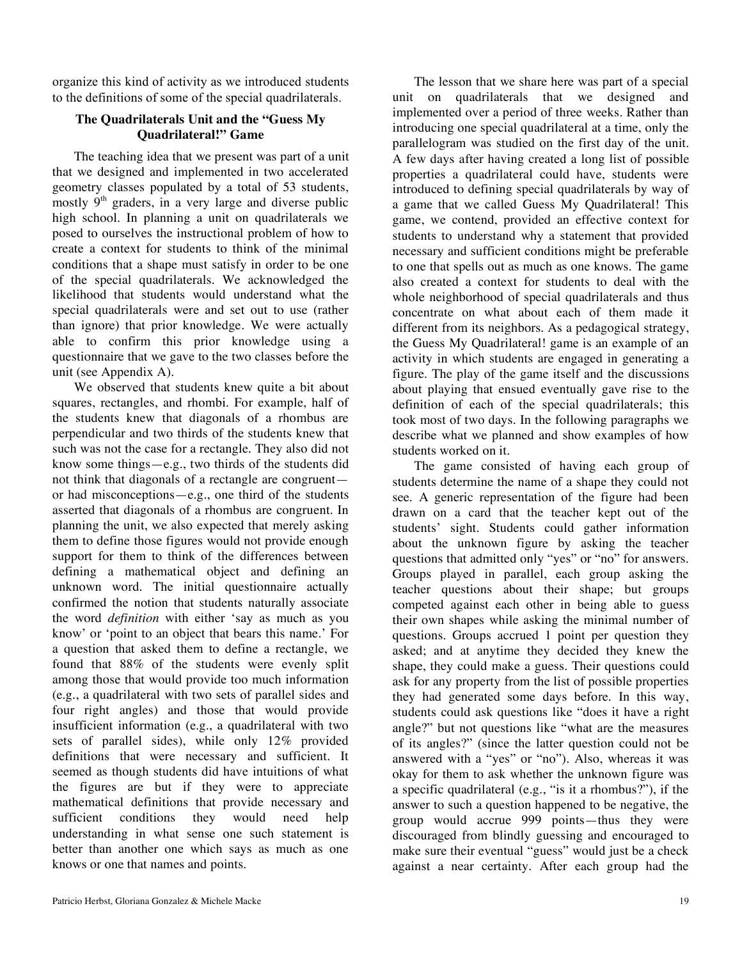organize this kind of activity as we introduced students to the definitions of some of the special quadrilaterals.

## **The Quadrilaterals Unit and the "Guess My Quadrilateral!" Game**

The teaching idea that we present was part of a unit that we designed and implemented in two accelerated geometry classes populated by a total of 53 students, mostly  $9<sup>th</sup>$  graders, in a very large and diverse public high school. In planning a unit on quadrilaterals we posed to ourselves the instructional problem of how to create a context for students to think of the minimal conditions that a shape must satisfy in order to be one of the special quadrilaterals. We acknowledged the likelihood that students would understand what the special quadrilaterals were and set out to use (rather than ignore) that prior knowledge. We were actually able to confirm this prior knowledge using a questionnaire that we gave to the two classes before the unit (see Appendix A).

We observed that students knew quite a bit about squares, rectangles, and rhombi. For example, half of the students knew that diagonals of a rhombus are perpendicular and two thirds of the students knew that such was not the case for a rectangle. They also did not know some things—e.g., two thirds of the students did not think that diagonals of a rectangle are congruent or had misconceptions—e.g., one third of the students asserted that diagonals of a rhombus are congruent. In planning the unit, we also expected that merely asking them to define those figures would not provide enough support for them to think of the differences between defining a mathematical object and defining an unknown word. The initial questionnaire actually confirmed the notion that students naturally associate the word *definition* with either 'say as much as you know' or 'point to an object that bears this name.' For a question that asked them to define a rectangle, we found that 88% of the students were evenly split among those that would provide too much information (e.g., a quadrilateral with two sets of parallel sides and four right angles) and those that would provide insufficient information (e.g., a quadrilateral with two sets of parallel sides), while only 12% provided definitions that were necessary and sufficient. It seemed as though students did have intuitions of what the figures are but if they were to appreciate mathematical definitions that provide necessary and sufficient conditions they would need help understanding in what sense one such statement is better than another one which says as much as one knows or one that names and points.

The lesson that we share here was part of a special unit on quadrilaterals that we designed and implemented over a period of three weeks. Rather than introducing one special quadrilateral at a time, only the parallelogram was studied on the first day of the unit. A few days after having created a long list of possible properties a quadrilateral could have, students were introduced to defining special quadrilaterals by way of a game that we called Guess My Quadrilateral! This game, we contend, provided an effective context for students to understand why a statement that provided necessary and sufficient conditions might be preferable to one that spells out as much as one knows. The game also created a context for students to deal with the whole neighborhood of special quadrilaterals and thus concentrate on what about each of them made it different from its neighbors. As a pedagogical strategy, the Guess My Quadrilateral! game is an example of an activity in which students are engaged in generating a figure. The play of the game itself and the discussions about playing that ensued eventually gave rise to the definition of each of the special quadrilaterals; this took most of two days. In the following paragraphs we describe what we planned and show examples of how students worked on it.

The game consisted of having each group of students determine the name of a shape they could not see. A generic representation of the figure had been drawn on a card that the teacher kept out of the students' sight. Students could gather information about the unknown figure by asking the teacher questions that admitted only "yes" or "no" for answers. Groups played in parallel, each group asking the teacher questions about their shape; but groups competed against each other in being able to guess their own shapes while asking the minimal number of questions. Groups accrued 1 point per question they asked; and at anytime they decided they knew the shape, they could make a guess. Their questions could ask for any property from the list of possible properties they had generated some days before. In this way, students could ask questions like "does it have a right angle?" but not questions like "what are the measures of its angles?" (since the latter question could not be answered with a "yes" or "no"). Also, whereas it was okay for them to ask whether the unknown figure was a specific quadrilateral (e.g., "is it a rhombus?"), if the answer to such a question happened to be negative, the group would accrue 999 points—thus they were discouraged from blindly guessing and encouraged to make sure their eventual "guess" would just be a check against a near certainty. After each group had the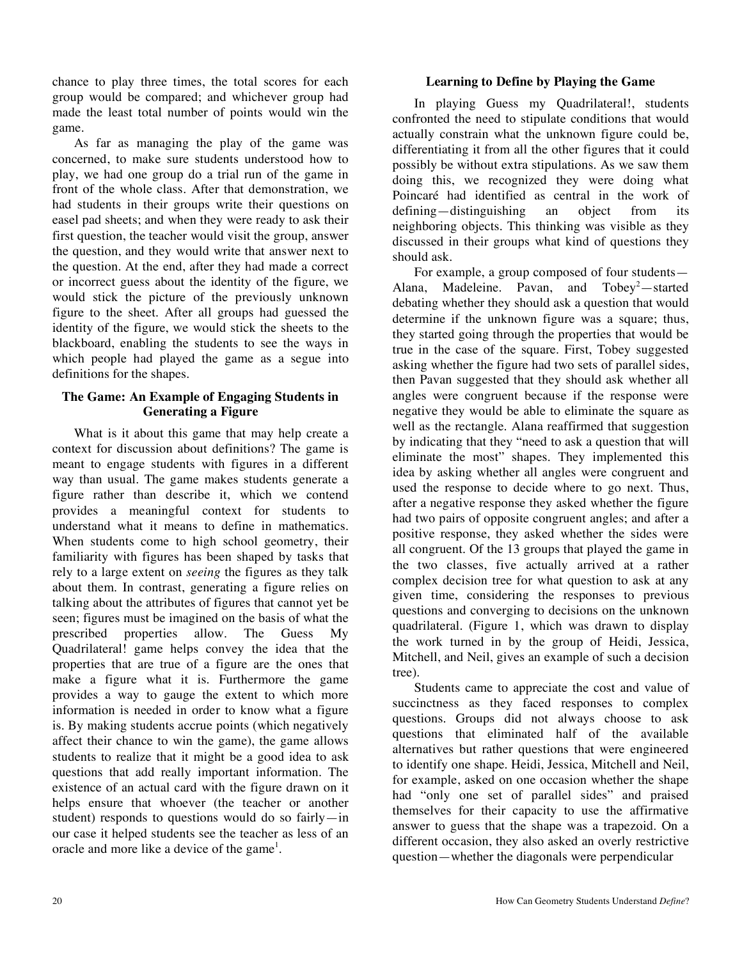chance to play three times, the total scores for each group would be compared; and whichever group had made the least total number of points would win the game.

As far as managing the play of the game was concerned, to make sure students understood how to play, we had one group do a trial run of the game in front of the whole class. After that demonstration, we had students in their groups write their questions on easel pad sheets; and when they were ready to ask their first question, the teacher would visit the group, answer the question, and they would write that answer next to the question. At the end, after they had made a correct or incorrect guess about the identity of the figure, we would stick the picture of the previously unknown figure to the sheet. After all groups had guessed the identity of the figure, we would stick the sheets to the blackboard, enabling the students to see the ways in which people had played the game as a segue into definitions for the shapes.

## **The Game: An Example of Engaging Students in Generating a Figure**

What is it about this game that may help create a context for discussion about definitions? The game is meant to engage students with figures in a different way than usual. The game makes students generate a figure rather than describe it, which we contend provides a meaningful context for students to understand what it means to define in mathematics. When students come to high school geometry, their familiarity with figures has been shaped by tasks that rely to a large extent on *seeing* the figures as they talk about them. In contrast, generating a figure relies on talking about the attributes of figures that cannot yet be seen; figures must be imagined on the basis of what the prescribed properties allow. The Guess My Quadrilateral! game helps convey the idea that the properties that are true of a figure are the ones that make a figure what it is. Furthermore the game provides a way to gauge the extent to which more information is needed in order to know what a figure is. By making students accrue points (which negatively affect their chance to win the game), the game allows students to realize that it might be a good idea to ask questions that add really important information. The existence of an actual card with the figure drawn on it helps ensure that whoever (the teacher or another student) responds to questions would do so fairly—in our case it helped students see the teacher as less of an oracle and more like a device of the game<sup>1</sup>.

## **Learning to Define by Playing the Game**

In playing Guess my Quadrilateral!, students confronted the need to stipulate conditions that would actually constrain what the unknown figure could be, differentiating it from all the other figures that it could possibly be without extra stipulations. As we saw them doing this, we recognized they were doing what Poincaré had identified as central in the work of defining—distinguishing an object from its neighboring objects. This thinking was visible as they discussed in their groups what kind of questions they should ask.

For example, a group composed of four students— Alana, Madeleine. Pavan, and  $Tobey^2$ —started debating whether they should ask a question that would determine if the unknown figure was a square; thus, they started going through the properties that would be true in the case of the square. First, Tobey suggested asking whether the figure had two sets of parallel sides, then Pavan suggested that they should ask whether all angles were congruent because if the response were negative they would be able to eliminate the square as well as the rectangle. Alana reaffirmed that suggestion by indicating that they "need to ask a question that will eliminate the most" shapes. They implemented this idea by asking whether all angles were congruent and used the response to decide where to go next. Thus, after a negative response they asked whether the figure had two pairs of opposite congruent angles; and after a positive response, they asked whether the sides were all congruent. Of the 13 groups that played the game in the two classes, five actually arrived at a rather complex decision tree for what question to ask at any given time, considering the responses to previous questions and converging to decisions on the unknown quadrilateral. (Figure 1, which was drawn to display the work turned in by the group of Heidi, Jessica, Mitchell, and Neil, gives an example of such a decision tree).

Students came to appreciate the cost and value of succinctness as they faced responses to complex questions. Groups did not always choose to ask questions that eliminated half of the available alternatives but rather questions that were engineered to identify one shape. Heidi, Jessica, Mitchell and Neil, for example, asked on one occasion whether the shape had "only one set of parallel sides" and praised themselves for their capacity to use the affirmative answer to guess that the shape was a trapezoid. On a different occasion, they also asked an overly restrictive question—whether the diagonals were perpendicular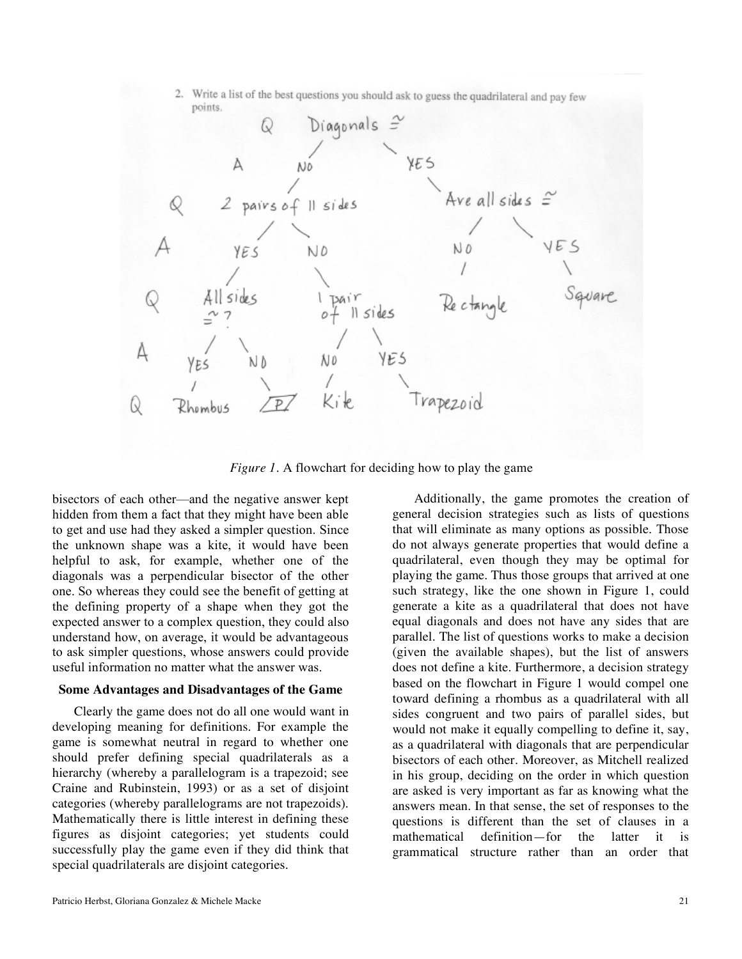

*Figure 1*. A flowchart for deciding how to play the game

bisectors of each other—and the negative answer kept hidden from them a fact that they might have been able to get and use had they asked a simpler question. Since the unknown shape was a kite, it would have been helpful to ask, for example, whether one of the diagonals was a perpendicular bisector of the other one. So whereas they could see the benefit of getting at the defining property of a shape when they got the expected answer to a complex question, they could also understand how, on average, it would be advantageous to ask simpler questions, whose answers could provide useful information no matter what the answer was.

#### **Some Advantages and Disadvantages of the Game**

Clearly the game does not do all one would want in developing meaning for definitions. For example the game is somewhat neutral in regard to whether one should prefer defining special quadrilaterals as a hierarchy (whereby a parallelogram is a trapezoid; see Craine and Rubinstein, 1993) or as a set of disjoint categories (whereby parallelograms are not trapezoids). Mathematically there is little interest in defining these figures as disjoint categories; yet students could successfully play the game even if they did think that special quadrilaterals are disjoint categories.

Additionally, the game promotes the creation of general decision strategies such as lists of questions that will eliminate as many options as possible. Those do not always generate properties that would define a quadrilateral, even though they may be optimal for playing the game. Thus those groups that arrived at one such strategy, like the one shown in Figure 1, could generate a kite as a quadrilateral that does not have equal diagonals and does not have any sides that are parallel. The list of questions works to make a decision (given the available shapes), but the list of answers does not define a kite. Furthermore, a decision strategy based on the flowchart in Figure 1 would compel one toward defining a rhombus as a quadrilateral with all sides congruent and two pairs of parallel sides, but would not make it equally compelling to define it, say, as a quadrilateral with diagonals that are perpendicular bisectors of each other. Moreover, as Mitchell realized in his group, deciding on the order in which question are asked is very important as far as knowing what the answers mean. In that sense, the set of responses to the questions is different than the set of clauses in a mathematical definition—for the latter it is grammatical structure rather than an order that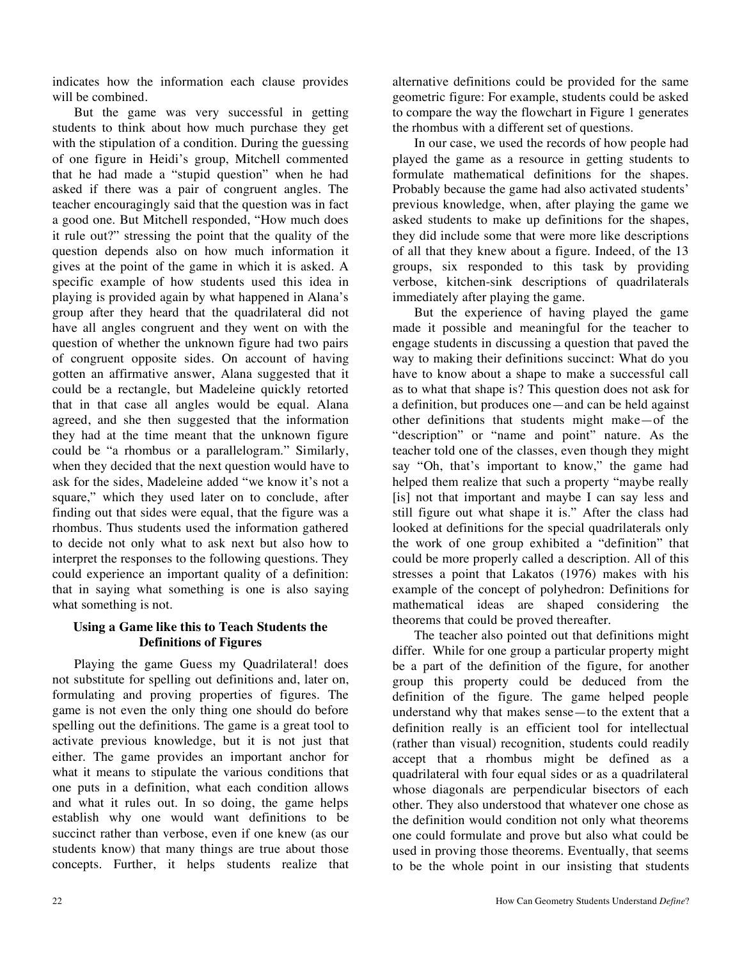indicates how the information each clause provides will be combined.

But the game was very successful in getting students to think about how much purchase they get with the stipulation of a condition. During the guessing of one figure in Heidi's group, Mitchell commented that he had made a "stupid question" when he had asked if there was a pair of congruent angles. The teacher encouragingly said that the question was in fact a good one. But Mitchell responded, "How much does it rule out?" stressing the point that the quality of the question depends also on how much information it gives at the point of the game in which it is asked. A specific example of how students used this idea in playing is provided again by what happened in Alana's group after they heard that the quadrilateral did not have all angles congruent and they went on with the question of whether the unknown figure had two pairs of congruent opposite sides. On account of having gotten an affirmative answer, Alana suggested that it could be a rectangle, but Madeleine quickly retorted that in that case all angles would be equal. Alana agreed, and she then suggested that the information they had at the time meant that the unknown figure could be "a rhombus or a parallelogram." Similarly, when they decided that the next question would have to ask for the sides, Madeleine added "we know it's not a square," which they used later on to conclude, after finding out that sides were equal, that the figure was a rhombus. Thus students used the information gathered to decide not only what to ask next but also how to interpret the responses to the following questions. They could experience an important quality of a definition: that in saying what something is one is also saying what something is not.

## **Using a Game like this to Teach Students the Definitions of Figures**

Playing the game Guess my Quadrilateral! does not substitute for spelling out definitions and, later on, formulating and proving properties of figures. The game is not even the only thing one should do before spelling out the definitions. The game is a great tool to activate previous knowledge, but it is not just that either. The game provides an important anchor for what it means to stipulate the various conditions that one puts in a definition, what each condition allows and what it rules out. In so doing, the game helps establish why one would want definitions to be succinct rather than verbose, even if one knew (as our students know) that many things are true about those concepts. Further, it helps students realize that alternative definitions could be provided for the same geometric figure: For example, students could be asked to compare the way the flowchart in Figure 1 generates the rhombus with a different set of questions.

In our case, we used the records of how people had played the game as a resource in getting students to formulate mathematical definitions for the shapes. Probably because the game had also activated students' previous knowledge, when, after playing the game we asked students to make up definitions for the shapes, they did include some that were more like descriptions of all that they knew about a figure. Indeed, of the 13 groups, six responded to this task by providing verbose, kitchen-sink descriptions of quadrilaterals immediately after playing the game.

But the experience of having played the game made it possible and meaningful for the teacher to engage students in discussing a question that paved the way to making their definitions succinct: What do you have to know about a shape to make a successful call as to what that shape is? This question does not ask for a definition, but produces one—and can be held against other definitions that students might make—of the "description" or "name and point" nature. As the teacher told one of the classes, even though they might say "Oh, that's important to know," the game had helped them realize that such a property "maybe really [is] not that important and maybe I can say less and still figure out what shape it is." After the class had looked at definitions for the special quadrilaterals only the work of one group exhibited a "definition" that could be more properly called a description. All of this stresses a point that Lakatos (1976) makes with his example of the concept of polyhedron: Definitions for mathematical ideas are shaped considering the theorems that could be proved thereafter.

The teacher also pointed out that definitions might differ. While for one group a particular property might be a part of the definition of the figure, for another group this property could be deduced from the definition of the figure. The game helped people understand why that makes sense—to the extent that a definition really is an efficient tool for intellectual (rather than visual) recognition, students could readily accept that a rhombus might be defined as a quadrilateral with four equal sides or as a quadrilateral whose diagonals are perpendicular bisectors of each other. They also understood that whatever one chose as the definition would condition not only what theorems one could formulate and prove but also what could be used in proving those theorems. Eventually, that seems to be the whole point in our insisting that students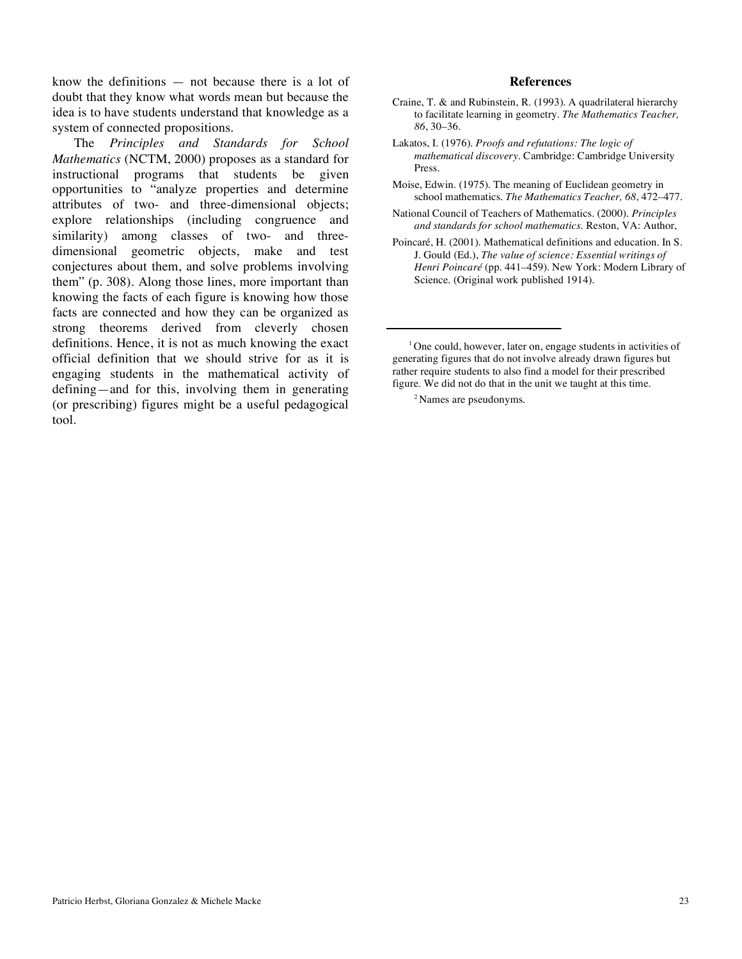know the definitions — not because there is a lot of doubt that they know what words mean but because the idea is to have students understand that knowledge as a system of connected propositions.

The *Principles and Standards for School Mathematics* (NCTM, 2000) proposes as a standard for instructional programs that students be given opportunities to "analyze properties and determine attributes of two- and three-dimensional objects; explore relationships (including congruence and similarity) among classes of two- and threedimensional geometric objects, make and test conjectures about them, and solve problems involving them" (p. 308). Along those lines, more important than knowing the facts of each figure is knowing how those facts are connected and how they can be organized as strong theorems derived from cleverly chosen definitions. Hence, it is not as much knowing the exact official definition that we should strive for as it is engaging students in the mathematical activity of defining—and for this, involving them in generating (or prescribing) figures might be a useful pedagogical tool.

#### **References**

- Craine, T. & and Rubinstein, R. (1993). A quadrilateral hierarchy to facilitate learning in geometry. *The Mathematics Teacher, 86*, 30–36.
- Lakatos, I. (1976). *Proofs and refutations: The logic of mathematical discovery*. Cambridge: Cambridge University Press.
- Moise, Edwin. (1975). The meaning of Euclidean geometry in school mathematics. *The Mathematics Teacher, 68*, 472–477.
- National Council of Teachers of Mathematics. (2000). *Principles and standards for school mathematics*. Reston, VA: Author,
- Poincaré, H. (2001). Mathematical definitions and education. In S. J. Gould (Ed.), *The value of science: Essential writings of Henri Poincaré* (pp. 441–459). New York: Modern Library of Science. (Original work published 1914).

2 Names are pseudonyms.

<sup>&</sup>lt;sup>1</sup> One could, however, later on, engage students in activities of generating figures that do not involve already drawn figures but rather require students to also find a model for their prescribed figure. We did not do that in the unit we taught at this time.